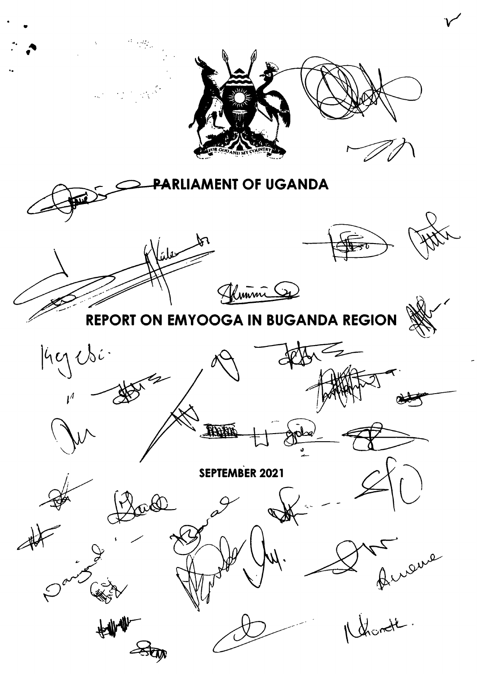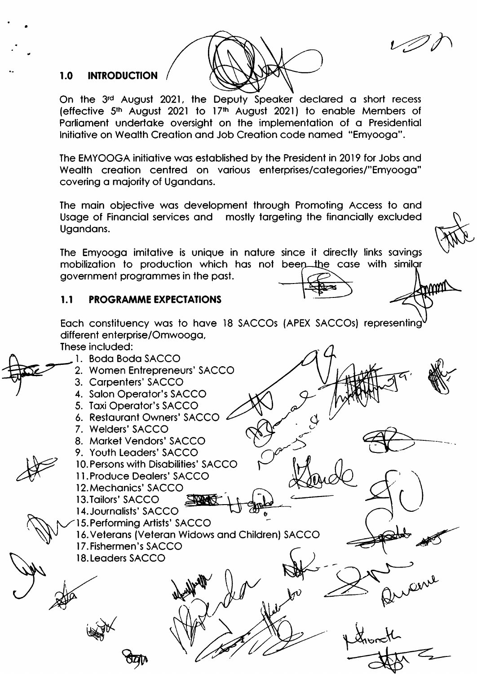#### **INTRODUCTION**  $1.0$

On the 3rd August 2021, the Deputy Speaker declared a short recess (effective 5<sup>th</sup> August 2021 to 17<sup>th</sup> August 2021) to enable Members of Parliament undertake oversight on the implementation of a Presidential Initiative on Wealth Creation and Job Creation code named "Emyooga".

The EMYOOGA initiative was established by the President in 2019 for Jobs and Wealth creation centred on various enterprises/categories/"Emyooga" covering a majority of Ugandans.

The main objective was development through Promoting Access to and Usage of Financial services and mostly targeting the financially excluded Ugandans.

The Emyooga imitative is unique in nature since it directly links savings mobilization to production which has not been the case with similar government programmes in the past.

mm

#### $1.1$ **PROGRAMME EXPECTATIONS**

Each constituency was to have 18 SACCOs (APEX SACCOs) representing different enterprise/Omwooga,

These included:

1. Boda Boda SACCO 2. Women Entrepreneurs' SACCO 3. Carpenters' SACCO 4. Salon Operator's SACCO 5. Taxi Operator's SACCO 6. Restaurant Owners' SACCO 4 7. Welders' SACCO 8. Market Vendors' SACCO 9. Youth Leaders' SACCO 10. Persons with Disabilities' SACCO 11. Produce Dealers' SACCO 12. Mechanics' SACCO 13. Tailors' SACCO 14. Journalists' SACCO 15. Performing Artists' SACCO 16. Veterans (Veteran Widows and Children) SACCO 17. Fishermen's SACCO 18. Leaders SACCO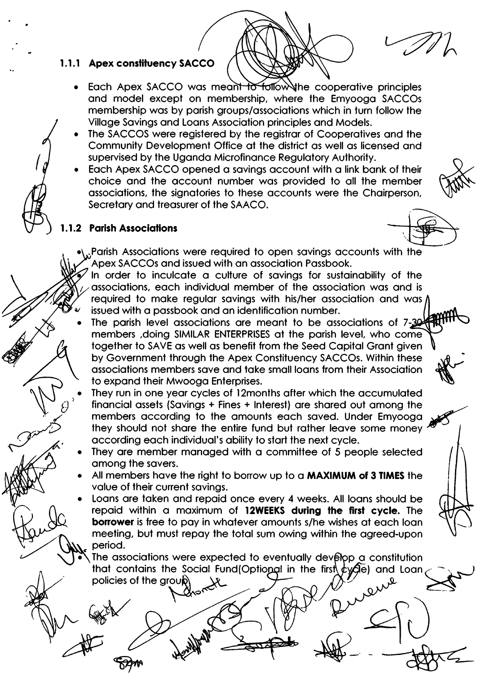# 1.1.1 Apex constituency SACCO

- Each Apex SACCO was meant to follow the cooperative principles and model except on membership, where the Emyooga SACCOs membership was by parish groups/associations which in turn follow the Village Savings and Loans Association principles and Models.
- The SACCOS were registered by the registrar of Cooperatives and the Community Development Office at the district as well as licensed and supervised by the Uganda Microfinance Regulatory Authority.
- Each Apex SACCO opened a savings account with a link bank of their choice and the account number was provided to all the member associations, the signatories to these accounts were the Chairperson, Secretary and treasurer of the SAACO.

## 1.1.2 Parish Associations



- Parish Associations were required to open savings accounts with the Apex SACCOs and issued with an association Passbook.
- In order to inculcate a culture of savings for sustainability of the associations, each individual member of the association was and is required to make reqular savings with his/her association and was / issued with a passbook and an identification number.
- The parish level associations are meant to be associations of 7-30 members , doing SIMILAR ENTERPRISES at the parish level, who come together to SAVE as well as benefit from the Seed Capital Grant given by Government through the Apex Constituency SACCOs. Within these associations members save and take small loans from their Association to expand their Mwooga Enterprises.
- They run in one year cycles of 12months after which the accumulated financial assets (Savings + Fines + Interest) are shared out among the members according to the amounts each saved. Under Emyooga they should not share the entire fund but rather leave some money according each individual's ability to start the next cycle.
- They are member managed with a committee of 5 people selected among the savers.
- All members have the right to borrow up to a MAXIMUM of 3 TIMES the value of their current savings.
- Loans are taken and repaid once every 4 weeks. All loans should be repaid within a maximum of 12WEEKS during the first cycle. The **borrower** is free to pay in whatever amounts s/he wishes at each loan meeting, but must repay the total sum owing within the agreed-upon period.

The associations were expected to eventually develop a constitution that contains the Social Fund(Optional in the first  $\oint$   $\oint$   $\oint$  and Loan policies of the group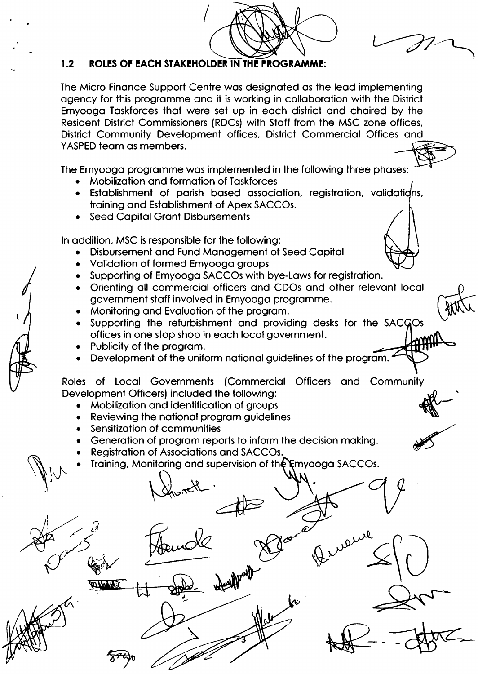

#### $1.2$ ROLES OF EACH STAKEHOLDER IN THE PROGRAMME:

The Micro Finance Support Centre was designated as the lead implementing agency for this programme and it is working in collaboration with the District Emyooga Taskforces that were set up in each district and chaired by the Resident District Commissioners (RDCs) with Staff from the MSC zone offices, District Community Development offices, District Commercial Offices and YASPED team as members.

The Emyooga programme was implemented in the following three phases:

- **Mobilization and formation of Taskforces**
- Establishment of parish based association, registration, validations, training and Establishment of Apex SACCOs.
- **Seed Capital Grant Disbursements**

In addition, MSC is responsible for the following:

- Disbursement and Fund Management of Seed Capital
- Validation of formed Emyooga groups
- Supporting of Emyooga SACCOs with bye-Laws for registration.
- Orienting all commercial officers and CDOs and other relevant local government staff involved in Emyooga programme.
- Monitoring and Evaluation of the program.
- Supporting the refurbishment and providing desks for the SACGOs offices in one stop shop in each local government.
- Publicity of the program.
- Development of the uniform national guidelines of the program.

Roles of Local Governments (Commercial Officers and Community Development Officers) included the following:

- Mobilization and identification of groups
- Reviewing the national program guidelines
- Sensitization of communities
- Generation of program reports to inform the decision making.
- Registration of Associations and SACCOs.
- Training, Monitoring and supervision of the Emyooga SACCOs.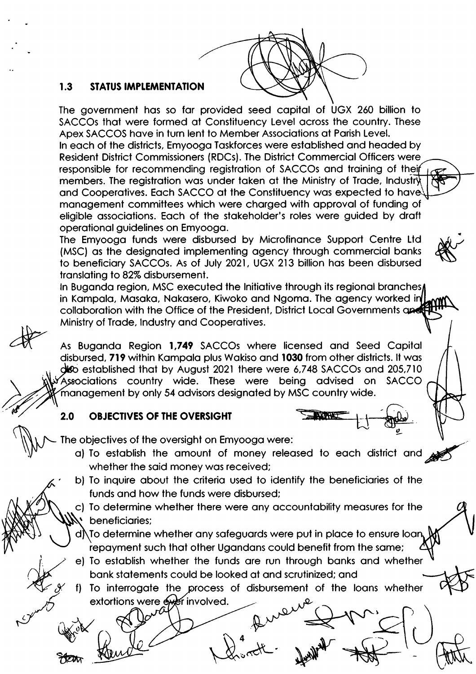

#### $1.3$ **STATUS IMPLEMENTATION**

The government has so far provided seed capital of UGX 260 billion to SACCOs that were formed at Constituency Level across the country. These Apex SACCOS have in turn lent to Member Associations at Parish Level. In each of the districts, Emyooga Taskforces were established and headed by Resident District Commissioners (RDCs). The District Commercial Officers were responsible for recommending registration of SACCOs and training of their members. The registration was under taken at the Ministry of Trade, Industry and Cooperatives. Each SACCO at the Constituency was expected to have management committees which were charged with approval of funding of eligible associations. Each of the stakeholder's roles were guided by draft operational guidelines on Emyooga.

The Emyooga funds were disbursed by Microfinance Support Centre Ltd (MSC) as the designated implementing agency through commercial banks to beneficiary SACCOs. As of July 2021, UGX 213 billion has been disbursed translating to 82% disbursement.

In Buganda region, MSC executed the Initiative through its regional branches, in Kampala, Masaka, Nakasero, Kiwoko and Ngoma. The agency worked in collaboration with the Office of the President, District Local Governments and Ministry of Trade, Industry and Cooperatives.

As Buganda Region 1,749 SACCOs where licensed and Seed Capital disbursed, 719 within Kampala plus Wakiso and 1030 from other districts. It was deo established that by August 2021 there were 6,748 SACCOs and 205,710 Associations country wide. These were being advised on **SACCO** management by only 54 advisors designated by MSC country wide.

### $2.0$ **OBJECTIVES OF THE OVERSIGHT**

The objectives of the oversight on Emyooga were:

- a) To establish the amount of money released to each district and whether the said money was received;
- b) To inquire about the criteria used to identify the beneficiaries of the funds and how the funds were disbursed;

c) To determine whether there were any accountability measures for the beneficiaries;

 $d\hskip-2pt\hskip-2pt\backslash$  To determine whether any safeguards were put in place to ensure loan, repayment such that other Ugandans could benefit from the same;

e) To establish whether the funds are run through banks and whether bank statements could be looked at and scrutinized; and

f) To interrogate the process of disbursement of the loans whether extortions were exer involved.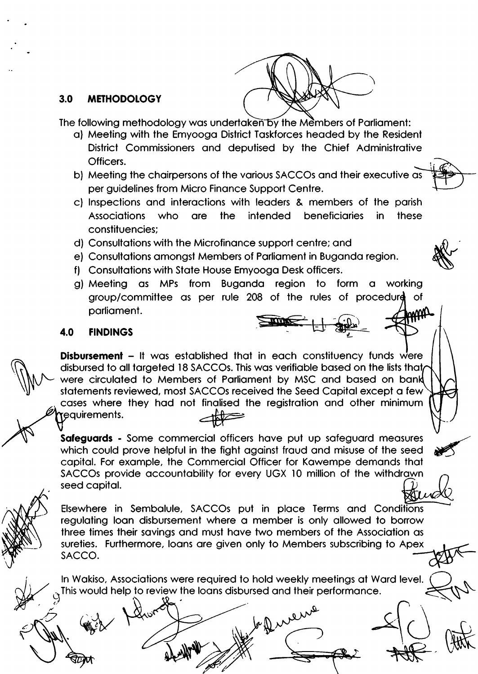

#### $3.0$ **METHODOLOGY**

The following methodology was undertaken by the Members of Parliament:

- a) Meeting with the Emyooga District Taskforces headed by the Resident District Commissioners and deputised by the Chief Administrative Officers.
- b) Meeting the chairpersons of the various SACCOs and their executive as per guidelines from Micro Finance Support Centre.
- c) Inspections and interactions with leaders & members of the parish **beneficiaries Associations** who are the intended in. these constituencies:
- d) Consultations with the Microfinance support centre; and
- e) Consultations amongst Members of Parliament in Buganda region.
- f) Consultations with State House Emyooga Desk officers.
- g) Meeting as MPs from Buganda region to form a working group/committee as per rule 208 of the rules of procedure of parliament.

#### **FINDINGS** 4.0

**Disbursement - It** was established that in each constituency funds were disbursed to all targeted 18 SACCOs. This was verifiable based on the lists that were circulated to Members of Parliament by MSC and based on bank statements reviewed, most SACCOs received the Seed Capital except a few cases where they had not finalised the registration and other minimum requirements.

Safeguards - Some commercial officers have put up safeguard measures which could prove helpful in the fight against fraud and misuse of the seed capital. For example, the Commercial Officer for Kawempe demands that SACCOs provide accountability for every UGX 10 million of the withdrawn seed capital.

Elsewhere in Sembalule, SACCOs put in place Terms and Conditions regulating loan disbursement where a member is only allowed to borrow three times their savings and must have two members of the Association as sureties. Furthermore, loans are given only to Members subscribing to Apex SACCO.

In Wakiso, Associations were required to hold weekly meetings at Ward level. This would help to review the loans disbursed and their performance.

beffurence

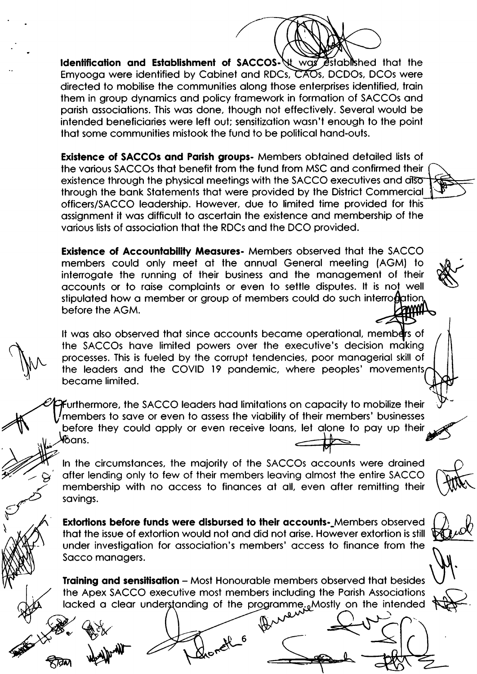Identification and Establishment of SACCOS- It was established that the Emyooga were identified by Cabinet and RDCs, CAOs, DCDOs, DCOs were directed to mobilise the communities along those enterprises identified, train them in group dynamics and policy framework in formation of SACCOs and parish associations. This was done, though not effectively. Several would be intended beneficiaries were left out; sensitization wasn't enouah to the point that some communities mistook the fund to be political hand-outs.

**Existence of SACCOs and Parish groups-** Members obtained detailed lists of the various SACCOs that benefit from the fund from MSC and confirmed their existence through the physical meetings with the SACCO executives and disor through the bank Statements that were provided by the District Commercial officers/SACCO leadership. However, due to limited time provided for this assianment it was difficult to ascertain the existence and membership of the various lists of association that the RDCs and the DCO provided.

Existence of Accountability Measures- Members observed that the SACCO members could only meet at the annual General meeting (AGM) to interrogate the running of their business and the management of their accounts or to raise complaints or even to settle disputes. It is not well stipulated how a member or group of members could do such interrogation before the AGM.

It was also observed that since accounts became operational, members of the SACCOs have limited powers over the executive's decision making processes. This is fueled by the corrupt tendencies, poor managerial skill of the leaders and the COVID 19 pandemic, where peoples' movements, became limited.

Furthermore, the SACCO leaders had limitations on capacity to mobilize their members to save or even to assess the viability of their members' businesses before they could apply or even receive loans, let alone to pay up their löans.

In the circumstances, the majority of the SACCOs accounts were drained after lending only to few of their members leaving almost the entire SACCO membership with no access to finances at all, even after remitting their savings.

Extortions before funds were disbursed to their accounts-Members observed that the issue of extortion would not and did not arise. However extortion is still under investigation for association's members' access to finance from the Sacco managers.

Training and sensitisation - Most Honourable members observed that besides the Apex SACCO executive most members including the Parish Associations lacked a clear understanding of the programme. Mostly on the intended

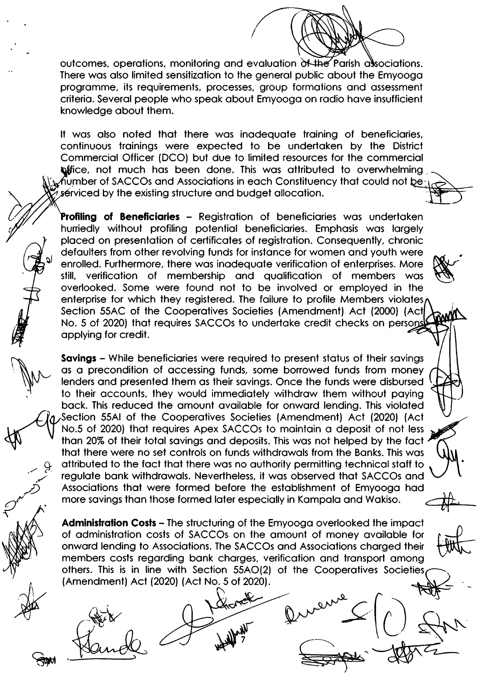outcomes, operations, monitoring and evaluation of the Parish associations. There was also limited sensitization to the general public about the Emyooga programme, its requirements, processes, group formations and assessment criteria. Several people who speak about Emyooga on radio have insufficient knowledge about them.

It was also noted that there was inadequate training of beneficiaries. continuous trainings were expected to be undertaken by the District Commercial Officer (DCO) but due to limited resources for the commercial **office, not much has been done. This was attributed to overwhelming**  $\Delta$  Mumber of SACCOs and Associations in each Constituency that could not be  $\Delta$ serviced by the existing structure and budget allocation.

**Profiling of Beneficiaries -** Registration of beneficiaries was undertaken hurriedly without profiling potential beneficiaries. Emphasis was largely placed on presentation of certificates of registration. Consequently, chronic defaulters from other revolving funds for instance for women and youth were enrolled. Furthermore, there was inadequate verification of enterprises. More verification of membership and aualification of members was still. overlooked. Some were found not to be involved or employed in the enterprise for which they registered. The failure to profile Members violates, Section 55AC of the Cooperatives Societies (Amendment) Act (2000) (Act No. 5 of 2020) that requires SACCOs to undertake credit checks on person applying for credit.

**Savings** – While beneficiaries were required to present status of their savings as a precondition of accessing funds, some borrowed funds from money lenders and presented them as their savings. Once the funds were disbursed to their accounts, they would immediately withdraw them without paying back. This reduced the amount available for onward lending. This violated Section 55AI of the Cooperatives Societies (Amendment) Act (2020) (Act No.5 of 2020) that requires Apex SACCOs to maintain a deposit of not less than 20% of their total savings and deposits. This was not helped by the fact that there were no set controls on funds withdrawals from the Banks. This was attributed to the fact that there was no authority permitting technical staff to regulate bank withdrawals. Nevertheless, it was observed that SACCOs and Associations that were formed before the establishment of Emyooga had more savings than those formed later especially in Kampala and Wakiso.

**Administration Costs - The structuring of the Emyooga overlooked the impact** of administration costs of SACCOs on the amount of money available for onward lending to Associations. The SACCOs and Associations charged their members costs regarding bank charges, verification and transport among others. This is in line with Section 55AO(2) of the Cooperatives Societies (Amendment) Act (2020) (Act No. 5 of 2020).

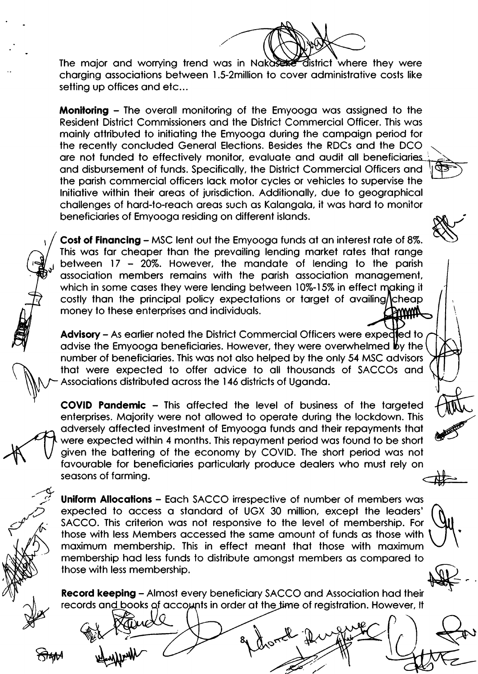district where they were The major and worrying trend was in Nakaser charging associations between 1.5-2million to cover administrative costs like setting up offices and etc...

**Monitoring - The overall monitoring of the Emyooga was assigned to the** Resident District Commissioners and the District Commercial Officer. This was mainly attributed to initiating the Emyooga during the campaign period for the recently concluded General Elections. Besides the RDCs and the DCO are not funded to effectively monitor, evaluate and audit all beneficiaries and disbursement of funds. Specifically, the District Commercial Officers and the parish commercial officers lack motor cycles or vehicles to supervise the Initiative within their areas of jurisdiction. Additionally, due to aeographical challenges of hard-to-reach areas such as Kalangala, it was hard to monitor beneficiaries of Emyooga residing on different islands.

**Cost of Financing – MSC lent out the Emyooga funds at an interest rate of 8%.** This was far cheaper than the prevailing lending market rates that range between 17 - 20%. However, the mandate of lending to the parish association members remains with the parish association management, which in some cases they were lending between 10%-15% in effect making it costly than the principal policy expectations or target of availing/cheap money to these enterprises and individuals. **BUUWA** 

**Advisory** – As earlier noted the District Commercial Officers were expedled to advise the Emyooga beneficiaries. However, they were overwhelmed by the number of beneficiaries. This was not also helped by the only 54 MSC advisors that were expected to offer advice to all thousands of SACCOs and Associations distributed across the 146 districts of Uganda.

**COVID Pandemic - This affected the level of business of the targeted** enterprises. Majority were not allowed to operate during the lockdown. This adversely affected investment of Emyooga funds and their repayments that were expected within 4 months. This repayment period was found to be short given the battering of the economy by COVID. The short period was not favourable for beneficiaries particularly produce dealers who must rely on seasons of farmina.

**Uniform Allocations - Each SACCO irrespective of number of members was** expected to access a standard of UGX 30 million, except the leaders' SACCO. This criterion was not responsive to the level of membership. For those with less Members accessed the same amount of funds as those with maximum membership. This in effect meant that those with maximum membership had less funds to distribute amongst members as compared to those with less membership.



**Record keeping - Almost every beneficiary SACCO and Association had their** records and books of accounts in order at the time of registration. However, It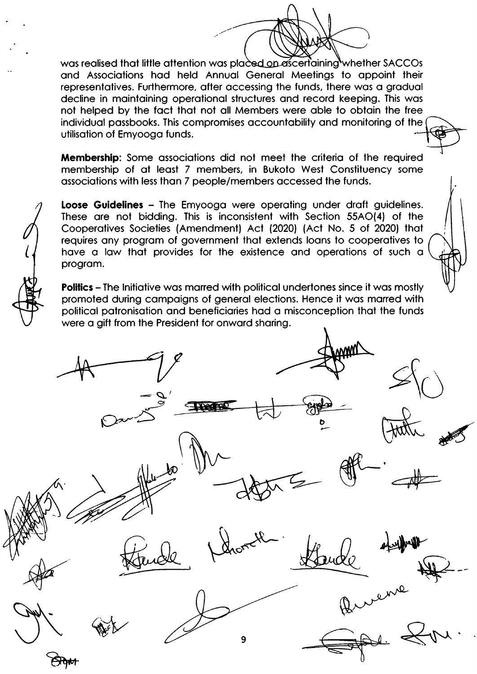was realised that little attention was placed on ascertaining whether SACCOs and Associations had held Annual General Meetings to appoint their representatives. Furthermore, after accessing the funds, there was a gradual decline in maintaining operational structures and record keeping. This was not helped by the fact that not all Members were able to obtain the free individual passbooks. This compromises accountability and monitoring of the utilisation of Emyooga funds.

**Membership:** Some associations did not meet the criteria of the required membership of at least 7 members, in Bukoto West Constituency some associations with less than 7 people/members accessed the funds.

Loose Guidelines - The Emyooga were operating under draft guidelines. These are not bidding. This is inconsistent with Section 55AO(4) of the Cooperatives Societies (Amendment) Act (2020) (Act No. 5 of 2020) that requires any program of government that extends loans to cooperatives to have a law that provides for the existence and operations of such a program.

**Politics - The Initiative was marred with political undertones since it was mostly** promoted during campaigns of general elections. Hence it was marred with political patronisation and beneficiaries had a misconception that the funds were a gift from the President for onward sharing.

q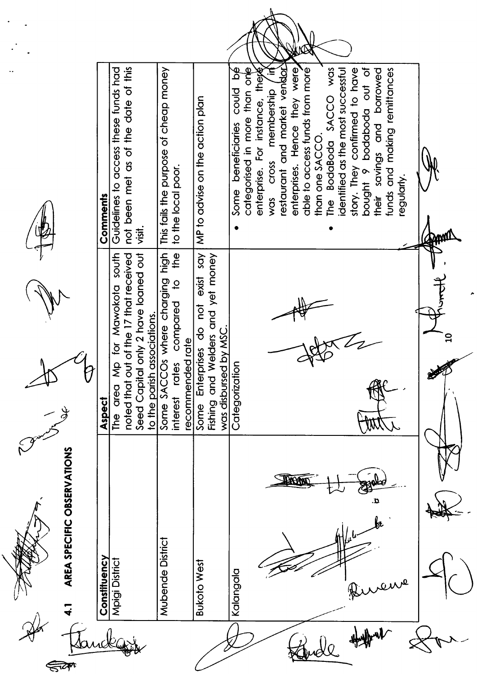Altres







| I, |
|----|
|----|

|                            |              | Guidelines to access these funds had<br>Comments            | not been met as of the date of this       | visit.                                  |                                  | This fails the purpose of cheap money | to the local poor.                                                                                |                    | MP to advise on the action plan                                |                                               | ð<br>could<br>beneficiaries<br>Some |  | categorised in more than one | For instance, these<br>enterprise. | membership<br>Cross<br>Was | restaurant and market vendo | enterprises. Hence they were | able to access funds from moré | than one SACCO. | was<br>The BodaBoda SACCO | dentified as the most successful | story. They confirmed to have | bought 9 bodaboda out of | their savings and borrowed | funds and making remittances | regularly |  |   |  |
|----------------------------|--------------|-------------------------------------------------------------|-------------------------------------------|-----------------------------------------|----------------------------------|---------------------------------------|---------------------------------------------------------------------------------------------------|--------------------|----------------------------------------------------------------|-----------------------------------------------|-------------------------------------|--|------------------------------|------------------------------------|----------------------------|-----------------------------|------------------------------|--------------------------------|-----------------|---------------------------|----------------------------------|-------------------------------|--------------------------|----------------------------|------------------------------|-----------|--|---|--|
|                            | V            | south<br>Mawokota<br>Vip for<br>area<br>Aspect<br><u>ው내</u> | out of the 17 that received<br>noted that | al only 2 have loaned out<br>Seed Capit | n associations.<br>to the parish | SACCOs where charging high<br>Some    | the<br>$\overline{\mathsf{C}}$<br>compared<br>recommended rate<br>ő<br>$\overline{5}$<br>interest |                    | say<br>exist<br>rprises do not<br>Enter<br>Fishing and<br>Some | Welders and yet money<br>was disbursed by MSC | Categorization                      |  |                              |                                    |                            |                             |                              |                                |                 |                           |                                  |                               |                          |                            |                              |           |  | ☞ |  |
| AREA SPECIFIC OBSERVATIONS | Constituency | Mpigi District                                              |                                           |                                         |                                  | Mubende District                      |                                                                                                   | <b>Bukoto West</b> |                                                                |                                               | Kalangala                           |  |                              |                                    |                            |                             |                              |                                |                 |                           |                                  |                               |                          |                            |                              |           |  |   |  |
|                            |              |                                                             |                                           |                                         |                                  |                                       |                                                                                                   |                    |                                                                |                                               |                                     |  |                              |                                    |                            |                             |                              |                                |                 |                           |                                  |                               |                          |                            |                              |           |  |   |  |